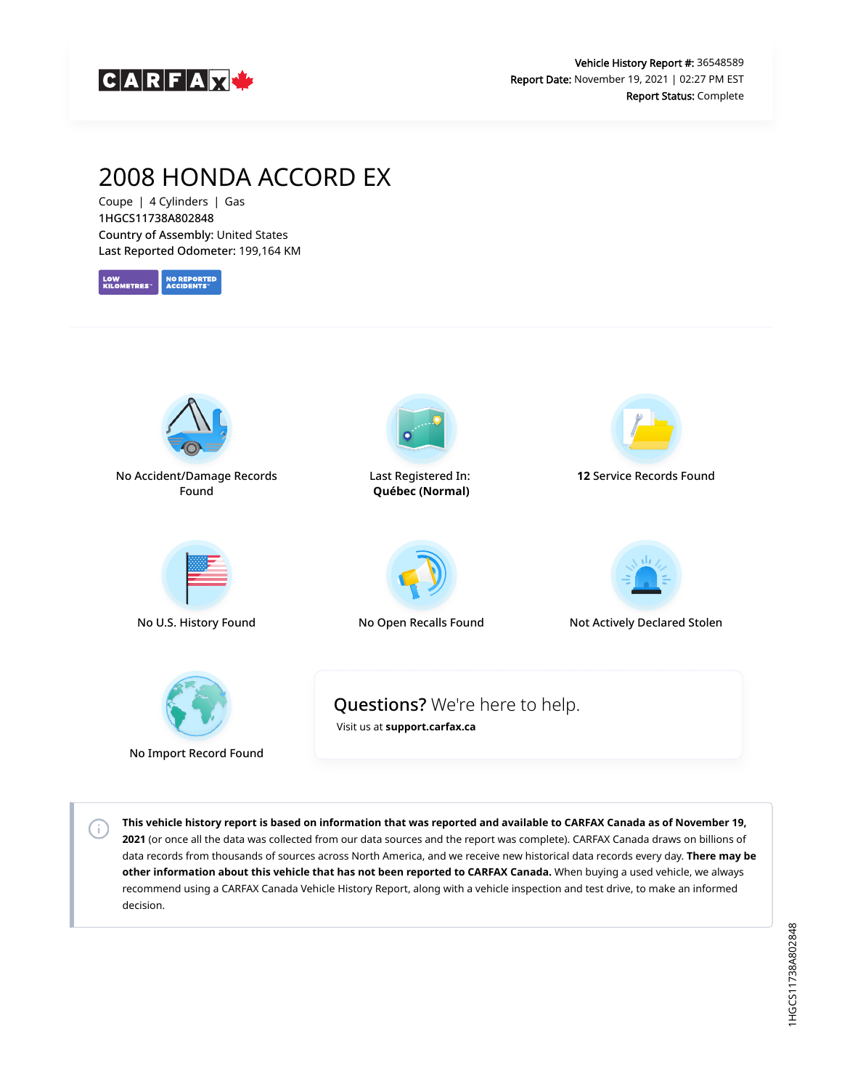

# 2008 HONDA ACCORD EX

Coupe | 4 Cylinders | Gas 1HGCS11738A802848 Country of Assembly: United States Last Reported Odometer: 199,164 KM





No Import Record Found

 $\left( \cdot \right)$ 

**This vehicle history report is based on information that was reported and available to CARFAX Canada as of November 19, 2021** (or once all the data was collected from our data sources and the report was complete). CARFAX Canada draws on billions of data records from thousands of sources across North America, and we receive new historical data records every day. **There may be other information about this vehicle that has not been reported to CARFAX Canada.** When buying a used vehicle, we always recommend using a CARFAX Canada Vehicle History Report, along with a vehicle inspection and test drive, to make an informed decision.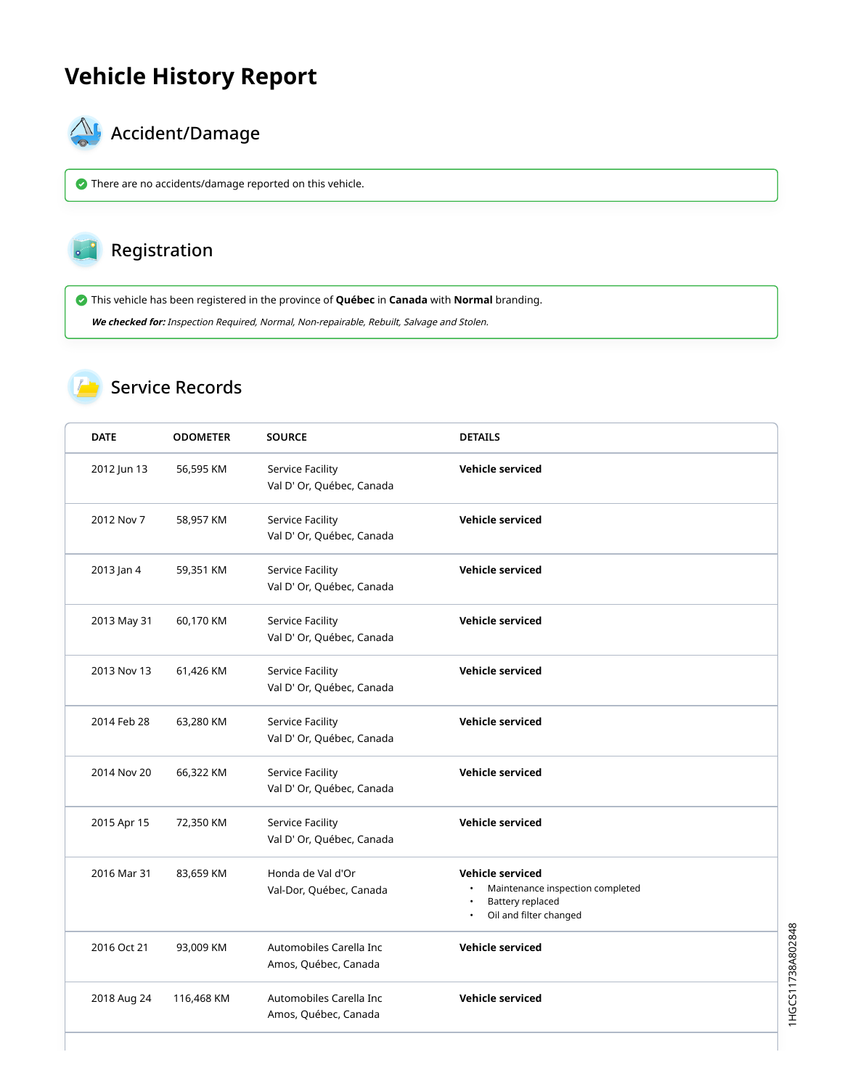## **Vehicle History Report**



# $\bigotimes$  Accident/Damage

There are no accidents/damage reported on this vehicle.

#### Registration

This vehicle has been registered in the province of **Québec** in **Canada** with **Normal** branding.

**We checked for:** Inspection Required, Normal, Non-repairable, Rebuilt, Salvage and Stolen.

### Service Records

| <b>DATE</b> | <b>ODOMETER</b> | <b>SOURCE</b>                                        | <b>DETAILS</b>                                                                                                  |
|-------------|-----------------|------------------------------------------------------|-----------------------------------------------------------------------------------------------------------------|
| 2012 Jun 13 | 56,595 KM       | Service Facility<br>Val D' Or, Québec, Canada        | <b>Vehicle serviced</b>                                                                                         |
| 2012 Nov 7  | 58,957 KM       | Service Facility<br>Val D' Or, Québec, Canada        | Vehicle serviced                                                                                                |
| 2013 Jan 4  | 59,351 KM       | Service Facility<br>Val D' Or, Québec, Canada        | <b>Vehicle serviced</b>                                                                                         |
| 2013 May 31 | 60,170 KM       | Service Facility<br>Val D' Or, Québec, Canada        | <b>Vehicle serviced</b>                                                                                         |
| 2013 Nov 13 | 61,426 KM       | <b>Service Facility</b><br>Val D' Or, Québec, Canada | <b>Vehicle serviced</b>                                                                                         |
| 2014 Feb 28 | 63,280 KM       | <b>Service Facility</b><br>Val D' Or, Québec, Canada | <b>Vehicle serviced</b>                                                                                         |
| 2014 Nov 20 | 66,322 KM       | Service Facility<br>Val D' Or, Québec, Canada        | Vehicle serviced                                                                                                |
| 2015 Apr 15 | 72,350 KM       | Service Facility<br>Val D' Or, Québec, Canada        | <b>Vehicle serviced</b>                                                                                         |
| 2016 Mar 31 | 83,659 KM       | Honda de Val d'Or<br>Val-Dor, Québec, Canada         | Vehicle serviced<br>Maintenance inspection completed<br>Battery replaced<br>Oil and filter changed<br>$\bullet$ |
| 2016 Oct 21 | 93,009 KM       | Automobiles Carella Inc<br>Amos, Québec, Canada      | <b>Vehicle serviced</b>                                                                                         |
| 2018 Aug 24 | 116,468 KM      | Automobiles Carella Inc<br>Amos, Québec, Canada      | <b>Vehicle serviced</b>                                                                                         |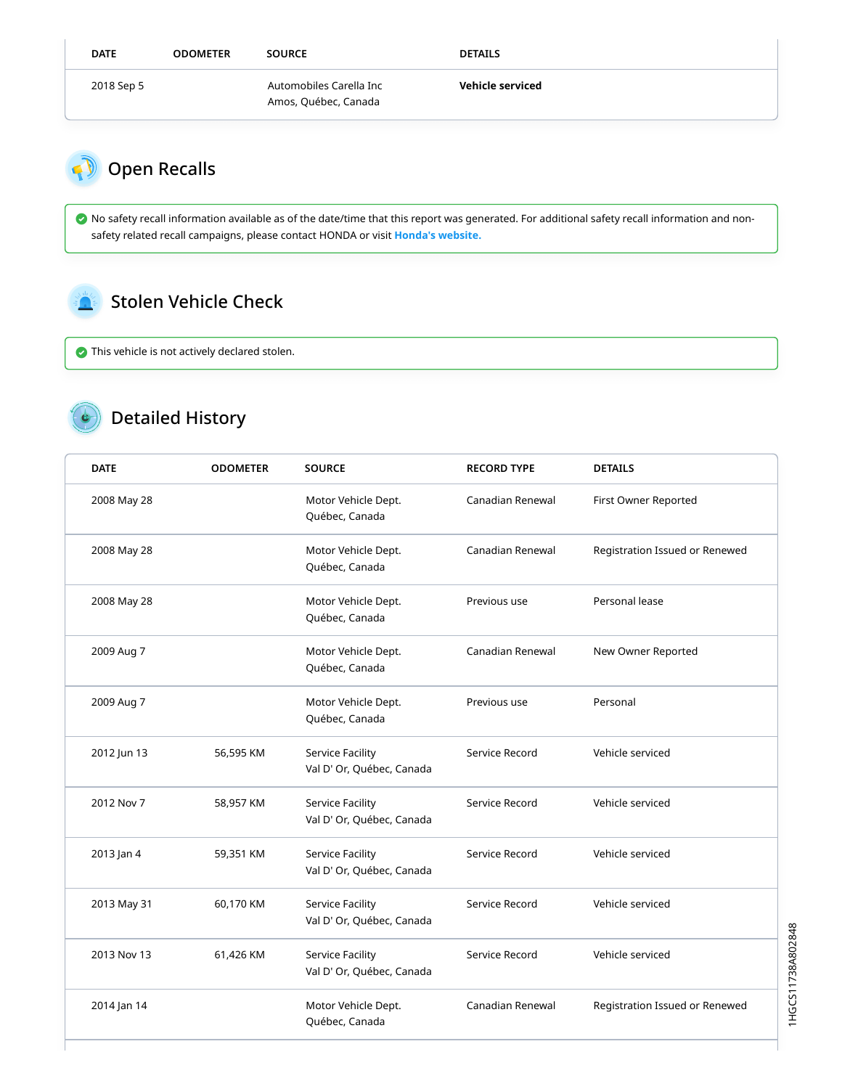| <b>DATE</b> | <b>ODOMETER</b> | <b>SOURCE</b>                                   | <b>DETAILS</b>   |
|-------------|-----------------|-------------------------------------------------|------------------|
| 2018 Sep 5  |                 | Automobiles Carella Inc<br>Amos, Québec, Canada | Vehicle serviced |

<span id="page-2-0"></span>

 $\bullet$  No safety recall information available as of the date/time that this report was generated. For additional safety recall information and nonsafety related recall campaigns, please contact HONDA or visit **[Honda's website.](http://www.honda.ca/recalls)**

#### <span id="page-2-1"></span>Stolen Vehicle Check

This vehicle is not actively declared stolen.

## Detailed History

| <b>DATE</b> | <b>ODOMETER</b> | <b>SOURCE</b>                                        | <b>RECORD TYPE</b> | <b>DETAILS</b>                 |
|-------------|-----------------|------------------------------------------------------|--------------------|--------------------------------|
| 2008 May 28 |                 | Motor Vehicle Dept.<br>Québec, Canada                | Canadian Renewal   | First Owner Reported           |
| 2008 May 28 |                 | Motor Vehicle Dept.<br>Québec, Canada                | Canadian Renewal   | Registration Issued or Renewed |
| 2008 May 28 |                 | Motor Vehicle Dept.<br>Québec, Canada                | Previous use       | Personal lease                 |
| 2009 Aug 7  |                 | Motor Vehicle Dept.<br>Québec, Canada                | Canadian Renewal   | New Owner Reported             |
| 2009 Aug 7  |                 | Motor Vehicle Dept.<br>Québec, Canada                | Previous use       | Personal                       |
| 2012 Jun 13 | 56,595 KM       | <b>Service Facility</b><br>Val D' Or, Québec, Canada | Service Record     | Vehicle serviced               |
| 2012 Nov 7  | 58,957 KM       | Service Facility<br>Val D' Or, Québec, Canada        | Service Record     | Vehicle serviced               |
| 2013 Jan 4  | 59,351 KM       | Service Facility<br>Val D' Or, Québec, Canada        | Service Record     | Vehicle serviced               |
| 2013 May 31 | 60,170 KM       | Service Facility<br>Val D' Or, Québec, Canada        | Service Record     | Vehicle serviced               |
| 2013 Nov 13 | 61,426 KM       | Service Facility<br>Val D' Or, Québec, Canada        | Service Record     | Vehicle serviced               |
| 2014 Jan 14 |                 | Motor Vehicle Dept.<br>Québec, Canada                | Canadian Renewal   | Registration Issued or Renewed |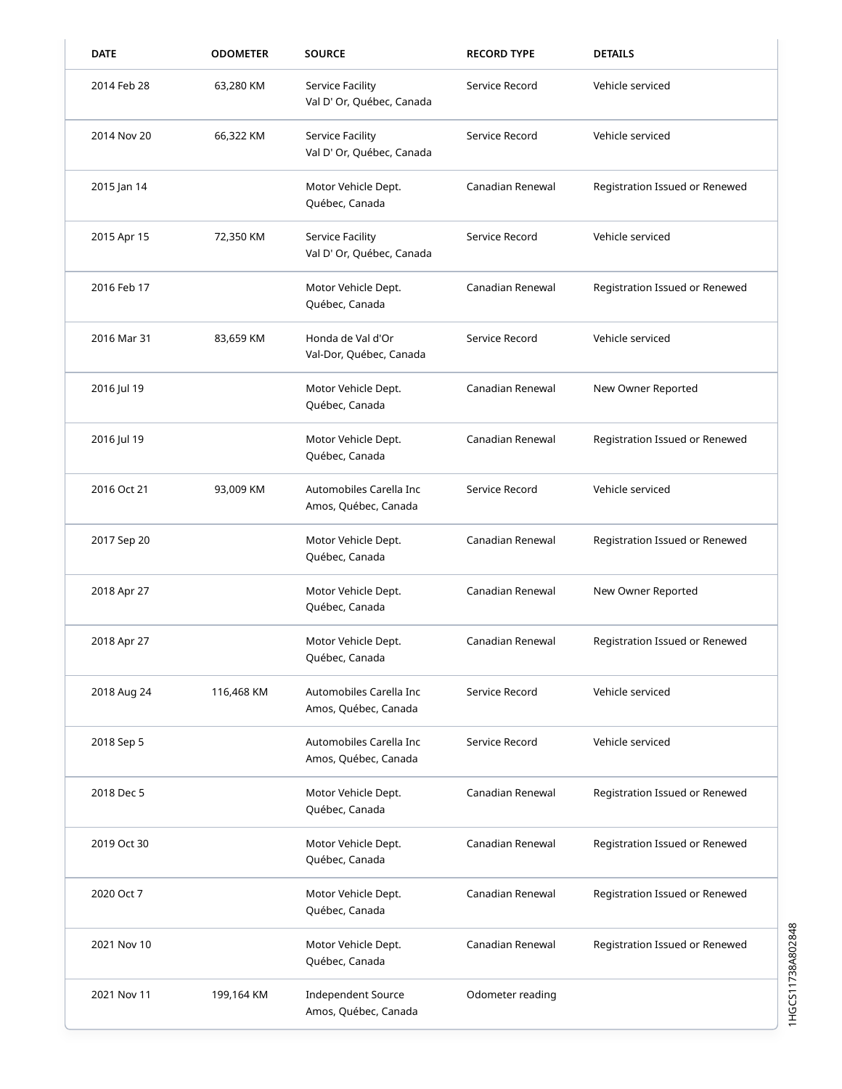| <b>DATE</b> | <b>ODOMETER</b> | <b>SOURCE</b>                                     | <b>RECORD TYPE</b> | <b>DETAILS</b>                 |
|-------------|-----------------|---------------------------------------------------|--------------------|--------------------------------|
| 2014 Feb 28 | 63,280 KM       | Service Facility<br>Val D' Or, Québec, Canada     | Service Record     | Vehicle serviced               |
| 2014 Nov 20 | 66,322 KM       | Service Facility<br>Val D' Or, Québec, Canada     | Service Record     | Vehicle serviced               |
| 2015 Jan 14 |                 | Motor Vehicle Dept.<br>Québec, Canada             | Canadian Renewal   | Registration Issued or Renewed |
| 2015 Apr 15 | 72,350 KM       | Service Facility<br>Val D' Or, Québec, Canada     | Service Record     | Vehicle serviced               |
| 2016 Feb 17 |                 | Motor Vehicle Dept.<br>Québec, Canada             | Canadian Renewal   | Registration Issued or Renewed |
| 2016 Mar 31 | 83,659 KM       | Honda de Val d'Or<br>Val-Dor, Québec, Canada      | Service Record     | Vehicle serviced               |
| 2016 Jul 19 |                 | Motor Vehicle Dept.<br>Québec, Canada             | Canadian Renewal   | New Owner Reported             |
| 2016 Jul 19 |                 | Motor Vehicle Dept.<br>Québec, Canada             | Canadian Renewal   | Registration Issued or Renewed |
| 2016 Oct 21 | 93,009 KM       | Automobiles Carella Inc<br>Amos, Québec, Canada   | Service Record     | Vehicle serviced               |
| 2017 Sep 20 |                 | Motor Vehicle Dept.<br>Québec, Canada             | Canadian Renewal   | Registration Issued or Renewed |
| 2018 Apr 27 |                 | Motor Vehicle Dept.<br>Québec, Canada             | Canadian Renewal   | New Owner Reported             |
| 2018 Apr 27 |                 | Motor Vehicle Dept.<br>Québec, Canada             | Canadian Renewal   | Registration Issued or Renewed |
| 2018 Aug 24 | 116,468 KM      | Automobiles Carella Inc<br>Amos, Québec, Canada   | Service Record     | Vehicle serviced               |
| 2018 Sep 5  |                 | Automobiles Carella Inc<br>Amos, Québec, Canada   | Service Record     | Vehicle serviced               |
| 2018 Dec 5  |                 | Motor Vehicle Dept.<br>Québec, Canada             | Canadian Renewal   | Registration Issued or Renewed |
| 2019 Oct 30 |                 | Motor Vehicle Dept.<br>Québec, Canada             | Canadian Renewal   | Registration Issued or Renewed |
| 2020 Oct 7  |                 | Motor Vehicle Dept.<br>Québec, Canada             | Canadian Renewal   | Registration Issued or Renewed |
| 2021 Nov 10 |                 | Motor Vehicle Dept.<br>Québec, Canada             | Canadian Renewal   | Registration Issued or Renewed |
| 2021 Nov 11 | 199,164 KM      | <b>Independent Source</b><br>Amos, Québec, Canada | Odometer reading   |                                |